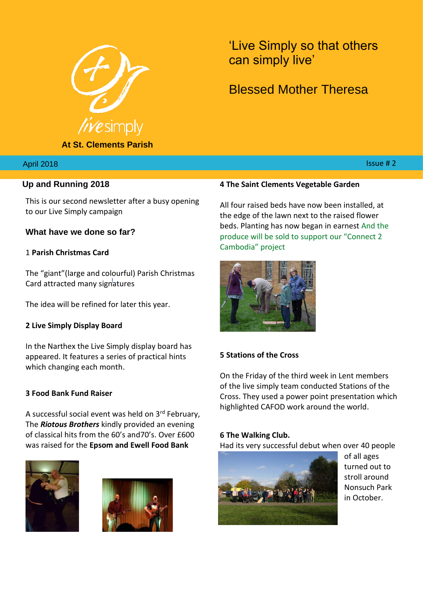

**At St. Clements Parish**

'Live Simply so that others can simply live'

# Blessed Mother Theresa

 $018$  . In this case of the contract of the contract of the contract of the contract of the contract of the contract of the contract of the contract of the contract of the contract of the contract of the contract of the c

#### April 2018

## **Up and Running 2018**

This is our second newsletter after a busy opening to our Live Simply campaign

**What have we done so far?**

#### 1 **Parish Christmas Card**

The "giant"(large and colourful) Parish Christmas Card attracted many signatures

The idea will be refined for later this year.

#### **2 Live Simply Display Board**

In the Narthex the Live Simply display board has appeared. It features a series of practical hints which changing each month.

#### **3 Food Bank Fund Raiser**

A successful social event was held on 3rd February, The *Riotous Brothers* kindly provided an evening of classical hits from the 60's and70's. Over £600 was raised for the **Epsom and Ewell Food Bank**





#### **4 The Saint Clements Vegetable Garden**

All four raised beds have now been installed, at the edge of the lawn next to the raised flower beds. Planting has now began in earnest And the produce will be sold to support our "Connect 2 Cambodia" project



#### **5 Stations of the Cross**

On the Friday of the third week in Lent members of the live simply team conducted Stations of the Cross. They used a power point presentation which highlighted CAFOD work around the world.

#### **6 The Walking Club.**

Had its very successful debut when over 40 people



of all ages turned out to stroll around Nonsuch Park in October.